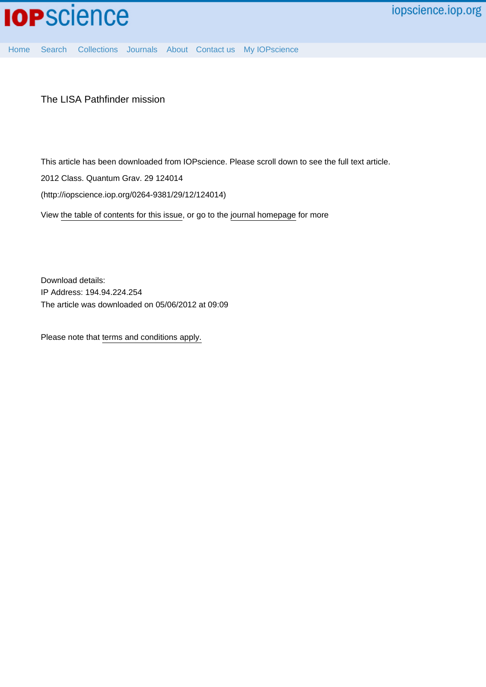

[Home](http://iopscience.iop.org/) [Search](http://iopscience.iop.org/search) [Collections](http://iopscience.iop.org/collections) [Journals](http://iopscience.iop.org/journals) [About](http://iopscience.iop.org/page/aboutioppublishing) [Contact us](http://iopscience.iop.org/contact) [My IOPscience](http://iopscience.iop.org/myiopscience)

The LISA Pathfinder mission

This article has been downloaded from IOPscience. Please scroll down to see the full text article.

2012 Class. Quantum Grav. 29 124014

(http://iopscience.iop.org/0264-9381/29/12/124014)

View [the table of contents for this issue](http://iopscience.iop.org/0264-9381/29/12), or go to the [journal homepage](http://iopscience.iop.org/0264-9381) for more

Download details: IP Address: 194.94.224.254 The article was downloaded on 05/06/2012 at 09:09

Please note that [terms and conditions apply.](http://iopscience.iop.org/page/terms)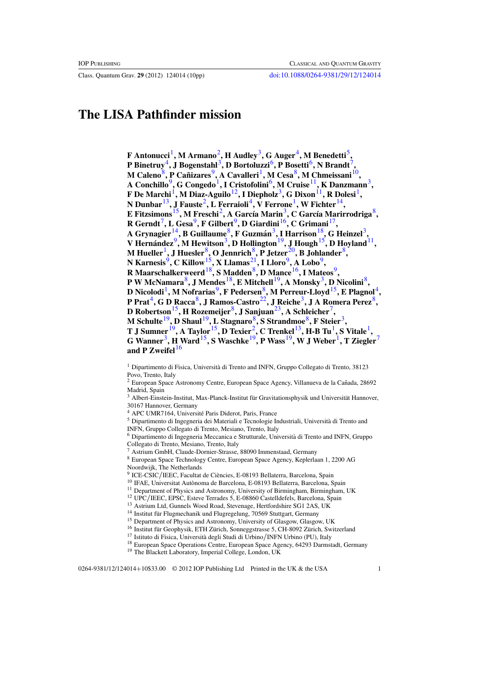Class. Quantum Grav. **29** (2012) 124014 (10pp) [doi:10.1088/0264-9381/29/12/124014](http://dx.doi.org/10.1088/0264-9381/29/12/124014)

# **The LISA Pathfinder mission**

**F Antonucci**1**, M Armano**2**, H Audley**3**, G Auger**4**, M Benedetti**5**, P Binetruy**4**, J Bogenstahl**3**, D Bortoluzzi**6**, P Bosetti**6**, N Brandt**7**, M Caleno**<sup>8</sup>, P Canizares<sup>9</sup>, A Cavalleri<sup>1</sup>, M Cesa<sup>8</sup>, M Chmeissani<sup>10</sup>, **A Conchillo**9**, G Congedo**1**, I Cristofolini**6**, M Cruise**11**, K Danzmann**3**, F De Marchi**1**, M Diaz-Aguilo**12**, I Diepholz**3**, G Dixon**11**, R Dolesi**1**, N Dunbar**13**, J Fauste**2**, L Ferraioli**4**, V Ferrone**1**, W Fichter**14**, E Fitzsimons**<sup>15</sup>, M Freschi<sup>2</sup>, A García Marin<sup>3</sup>, C García Marirrodriga<sup>8</sup>,  $R$  Gerndt<sup>7</sup>, L Gesa<sup>9</sup>, F Gilbert<sup>9</sup>, D Giardini<sup>16</sup>, C Grimani<sup>17</sup>, **A Grynagier**14**, B Guillaume**8**, F Guzman´** <sup>3</sup>**, I Harrison**18**, G Heinzel**3**, V Hernandez ´** <sup>9</sup>**, M Hewitson**3**, D Hollington**19**, J Hough**15**, D Hoyland**11**, M Hueller**1**, J Huesler**8**, O Jennrich**8**, P Jetzer**[20](#page-2-0)**, B Johlander**8**, N Karnesis**9**, C Killow**15**, X Llamas**[21](#page-2-0)**, I Lloro**9**, A Lobo**9**, R Maarschalkerweerd**18**, S Madden**8**, D Mance**16**, I Mateos**9**, P W McNamara**8**, J Mendes**18**, E Mitchell**19**, A Monsky**3**, D Nicolini**8**, D** Nicolodi<sup>1</sup>, M Nofrarias<sup>9</sup>, F Pedersen<sup>8</sup>, M Perreur-Lloyd<sup>15</sup>, E Plagnol<sup>4</sup>, **P Prat**4**, G D Racca**8**, J Ramos-Castro**[22](#page-2-0)**, J Reiche**3**, J A Romera Perez**8**, D Robertson**15**, H Rozemeijer**8**, J Sanjuan**[23](#page-2-0)**, A Schleicher**7**, M Schulte**19**, D Shaul**19**, L Stagnaro**8**, S Strandmoe**8**, F Steier**3**, T J Sumner**19**, A Taylor**15**, D Texier**2**, C Trenkel**13**, H-B Tu**1**, S Vitale**1**, G** Wanner<sup>3</sup>, **H** Ward<sup>15</sup>, S Waschke<sup>19</sup>, P Wass<sup>19</sup>, W J Weber<sup>1</sup>, T Ziegler<sup>7</sup> and P Zweifel<sup>16</sup>

<sup>4</sup> APC UMR7164, Université Paris Diderot, Paris, France

<sup>5</sup> Dipartimento di Ingegneria dei Materiali e Tecnologie Industriali, Universita di Trento and ` INFN, Gruppo Collegato di Trento, Mesiano, Trento, Italy

<sup>6</sup> Dipartimento di Ingegneria Meccanica e Strutturale, Universita di Trento and INFN, Gruppo ` Collegato di Trento, Mesiano, Trento, Italy

<sup>7</sup> Astrium GmbH, Claude-Dornier-Strasse, 88090 Immenstaad, Germany

<sup>8</sup> European Space Technology Centre, European Space Agency, Keplerlaan 1, 2200 AG Noordwijk, The Netherlands<br><sup>9</sup> ICE-CSIC/IEEC, Facultat de Ciències, E-08193 Bellaterra, Barcelona, Spain

<sup>11</sup> Department of Physics and Astronomy, University of Birmingham, Birmingham, UK

<sup>12</sup> UPC/IEEC, EPSC, Esteve Terrades 5, E-08860 Castelldefels, Barcelona, Spain <sup>13</sup> Astrium Ltd, Gunnels Wood Road, Stevenage, Hertfordshire SG1 2AS, UK

 $^{14}$  Institut für Flugmechanik und Flugregelung, 70569 Stuttgart, Germany

<sup>15</sup> Department of Physics and Astronomy, University of Glasgow, Glasgow, UK

<sup>16</sup> Institut für Geophysik, ETH Zürich, Sonneggstrasse 5, CH-8092 Zürich, Switzerland <sup>17</sup> Istituto di Fisica, Università degli Studi di Urbino/INFN Urbino (PU), Italy

<sup>18</sup> European Space Operations Centre, European Space Agency, 64293 Darmstadt, Germany

<sup>19</sup> The Blackett Laboratory, Imperial College, London, UK

<sup>&</sup>lt;sup>1</sup> Dipartimento di Fisica, Università di Trento and INFN, Gruppo Collegato di Trento, 38123 Povo, Trento, Italy

 $2$  European Space Astronomy Centre, European Space Agency, Villanueva de la Cañada, 28692 Madrid, Spain

Albert-Einstein-Institut, Max-Planck-Institut für Gravitationsphysik und Universität Hannover, 30167 Hannover, Germany

<sup>&</sup>lt;sup>10</sup> IFAE, Universitat Autònoma de Barcelona, E-08193 Bellaterra, Barcelona, Spain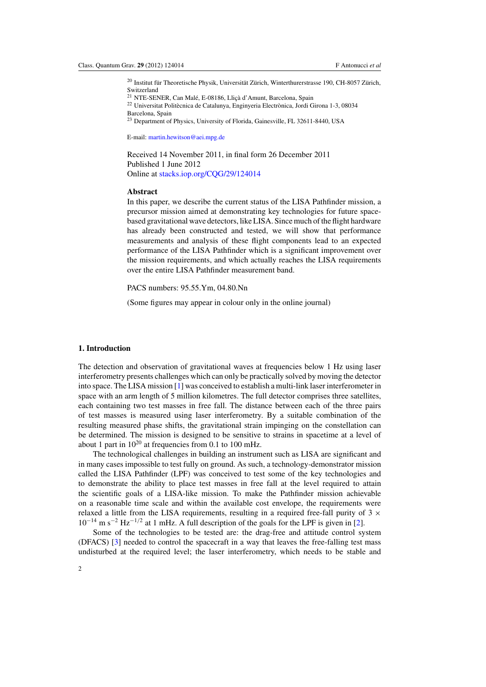<span id="page-2-0"></span> $^{20}$  Institut für Theoretische Physik, Universität Zürich, Winterthurerstrasse 190, CH-8057 Zürich, Switzerland

<sup>21</sup> NTE-SENER, Can Malé, E-08186, Lliçà d'Amunt, Barcelona, Spain

 $22$  Universitat Politècnica de Catalunya, Enginyeria Electrònica, Jordi Girona 1-3, 08034 Barcelona, Spain

<sup>23</sup> Department of Physics, University of Florida, Gainesville, FL 32611-8440, USA

E-mail: [martin.hewitson@aei.mpg.de](mailto:martin.hewitson@aei.mpg.de)

Received 14 November 2011, in final form 26 December 2011 Published 1 June 2012 Online at [stacks.iop.org/CQG/29/124014](http://stacks.iop.org/CQG/29/124014)

## **Abstract**

In this paper, we describe the current status of the LISA Pathfinder mission, a precursor mission aimed at demonstrating key technologies for future spacebased gravitational wave detectors, like LISA. Since much of the flight hardware has already been constructed and tested, we will show that performance measurements and analysis of these flight components lead to an expected performance of the LISA Pathfinder which is a significant improvement over the mission requirements, and which actually reaches the LISA requirements over the entire LISA Pathfinder measurement band.

PACS numbers: 95.55.Ym, 04.80.Nn

(Some figures may appear in colour only in the online journal)

## **1. Introduction**

The detection and observation of gravitational waves at frequencies below 1 Hz using laser interferometry presents challenges which can only be practically solved by moving the detector into space. The LISA mission [\[1\]](#page-10-0) was conceived to establish a multi-link laser interferometer in space with an arm length of 5 million kilometres. The full detector comprises three satellites, each containing two test masses in free fall. The distance between each of the three pairs of test masses is measured using laser interferometry. By a suitable combination of the resulting measured phase shifts, the gravitational strain impinging on the constellation can be determined. The mission is designed to be sensitive to strains in spacetime at a level of about 1 part in  $10^{20}$  at frequencies from 0.1 to 100 mHz.

The technological challenges in building an instrument such as LISA are significant and in many cases impossible to test fully on ground. As such, a technology-demonstrator mission called the LISA Pathfinder (LPF) was conceived to test some of the key technologies and to demonstrate the ability to place test masses in free fall at the level required to attain the scientific goals of a LISA-like mission. To make the Pathfinder mission achievable on a reasonable time scale and within the available cost envelope, the requirements were relaxed a little from the LISA requirements, resulting in a required free-fall purity of  $3 \times$  $10^{-14}$  m s<sup>-2</sup> Hz<sup>-1/2</sup> at 1 mHz. A full description of the goals for the LPF is given in [\[2](#page-10-0)].

Some of the technologies to be tested are: the drag-free and attitude control system (DFACS) [\[3\]](#page-10-0) needed to control the spacecraft in a way that leaves the free-falling test mass undisturbed at the required level; the laser interferometry, which needs to be stable and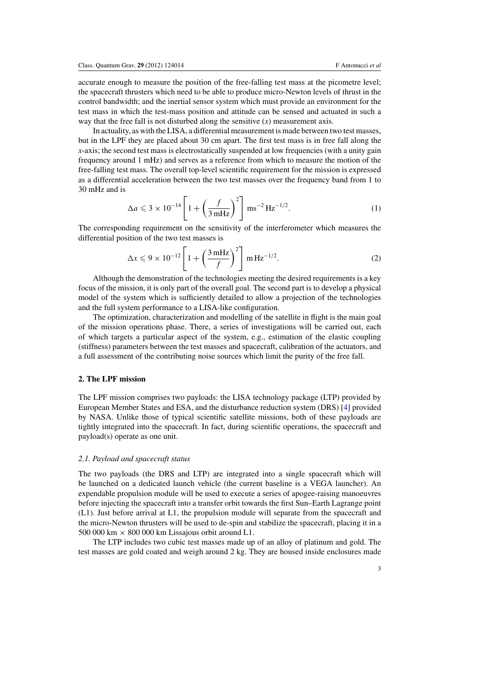accurate enough to measure the position of the free-falling test mass at the picometre level; the spacecraft thrusters which need to be able to produce micro-Newton levels of thrust in the control bandwidth; and the inertial sensor system which must provide an environment for the test mass in which the test-mass position and attitude can be sensed and actuated in such a way that the free fall is not disturbed along the sensitive  $(x)$  measurement axis.

In actuality, as with the LISA, a differential measurement is made between two test masses, but in the LPF they are placed about 30 cm apart. The first test mass is in free fall along the *x*-axis; the second test mass is electrostatically suspended at low frequencies (with a unity gain frequency around 1 mHz) and serves as a reference from which to measure the motion of the free-falling test mass. The overall top-level scientific requirement for the mission is expressed as a differential acceleration between the two test masses over the frequency band from 1 to 30 mHz and is

$$
\Delta a \leq 3 \times 10^{-14} \left[ 1 + \left( \frac{f}{3 \,\text{mHz}} \right)^2 \right] \text{ ms}^{-2} \text{Hz}^{-1/2}.
$$
 (1)

The corresponding requirement on the sensitivity of the interferometer which measures the differential position of the two test masses is

$$
\Delta x \le 9 \times 10^{-12} \left[ 1 + \left( \frac{3 \text{ mHz}}{f} \right)^2 \right] \text{ mHz}^{-1/2}.
$$
 (2)

Although the demonstration of the technologies meeting the desired requirements is a key focus of the mission, it is only part of the overall goal. The second part is to develop a physical model of the system which is sufficiently detailed to allow a projection of the technologies and the full system performance to a LISA-like configuration.

The optimization, characterization and modelling of the satellite in flight is the main goal of the mission operations phase. There, a series of investigations will be carried out, each of which targets a particular aspect of the system, e.g., estimation of the elastic coupling (stiffness) parameters between the test masses and spacecraft, calibration of the actuators, and a full assessment of the contributing noise sources which limit the purity of the free fall.

# **2. The LPF mission**

The LPF mission comprises two payloads: the LISA technology package (LTP) provided by European Member States and ESA, and the disturbance reduction system (DRS) [\[4\]](#page-10-0) provided by NASA. Unlike those of typical scientific satellite missions, both of these payloads are tightly integrated into the spacecraft. In fact, during scientific operations, the spacecraft and payload(s) operate as one unit.

### *2.1. Payload and spacecraft status*

The two payloads (the DRS and LTP) are integrated into a single spacecraft which will be launched on a dedicated launch vehicle (the current baseline is a VEGA launcher). An expendable propulsion module will be used to execute a series of apogee-raising manoeuvres before injecting the spacecraft into a transfer orbit towards the first Sun–Earth Lagrange point (L1). Just before arrival at L1, the propulsion module will separate from the spacecraft and the micro-Newton thrusters will be used to de-spin and stabilize the spacecraft, placing it in a 500 000 km  $\times$  800 000 km Lissajous orbit around L1.

The LTP includes two cubic test masses made up of an alloy of platinum and gold. The test masses are gold coated and weigh around 2 kg. They are housed inside enclosures made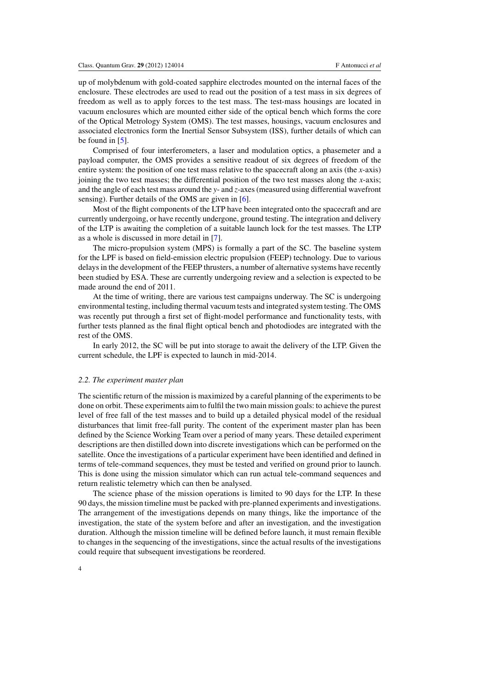up of molybdenum with gold-coated sapphire electrodes mounted on the internal faces of the enclosure. These electrodes are used to read out the position of a test mass in six degrees of freedom as well as to apply forces to the test mass. The test-mass housings are located in vacuum enclosures which are mounted either side of the optical bench which forms the core of the Optical Metrology System (OMS). The test masses, housings, vacuum enclosures and associated electronics form the Inertial Sensor Subsystem (ISS), further details of which can be found in [\[5](#page-10-0)].

Comprised of four interferometers, a laser and modulation optics, a phasemeter and a payload computer, the OMS provides a sensitive readout of six degrees of freedom of the entire system: the position of one test mass relative to the spacecraft along an axis (the *x*-axis) joining the two test masses; the differential position of the two test masses along the *x*-axis; and the angle of each test mass around the *y*- and *z*-axes (measured using differential wavefront sensing). Further details of the OMS are given in [\[6](#page-10-0)].

Most of the flight components of the LTP have been integrated onto the spacecraft and are currently undergoing, or have recently undergone, ground testing. The integration and delivery of the LTP is awaiting the completion of a suitable launch lock for the test masses. The LTP as a whole is discussed in more detail in [\[7\]](#page-10-0).

The micro-propulsion system (MPS) is formally a part of the SC. The baseline system for the LPF is based on field-emission electric propulsion (FEEP) technology. Due to various delays in the development of the FEEP thrusters, a number of alternative systems have recently been studied by ESA. These are currently undergoing review and a selection is expected to be made around the end of 2011.

At the time of writing, there are various test campaigns underway. The SC is undergoing environmental testing, including thermal vacuum tests and integrated system testing. The OMS was recently put through a first set of flight-model performance and functionality tests, with further tests planned as the final flight optical bench and photodiodes are integrated with the rest of the OMS.

In early 2012, the SC will be put into storage to await the delivery of the LTP. Given the current schedule, the LPF is expected to launch in mid-2014.

#### *2.2. The experiment master plan*

The scientific return of the mission is maximized by a careful planning of the experiments to be done on orbit. These experiments aim to fulfil the two main mission goals: to achieve the purest level of free fall of the test masses and to build up a detailed physical model of the residual disturbances that limit free-fall purity. The content of the experiment master plan has been defined by the Science Working Team over a period of many years. These detailed experiment descriptions are then distilled down into discrete investigations which can be performed on the satellite. Once the investigations of a particular experiment have been identified and defined in terms of tele-command sequences, they must be tested and verified on ground prior to launch. This is done using the mission simulator which can run actual tele-command sequences and return realistic telemetry which can then be analysed.

The science phase of the mission operations is limited to 90 days for the LTP. In these 90 days, the mission timeline must be packed with pre-planned experiments and investigations. The arrangement of the investigations depends on many things, like the importance of the investigation, the state of the system before and after an investigation, and the investigation duration. Although the mission timeline will be defined before launch, it must remain flexible to changes in the sequencing of the investigations, since the actual results of the investigations could require that subsequent investigations be reordered.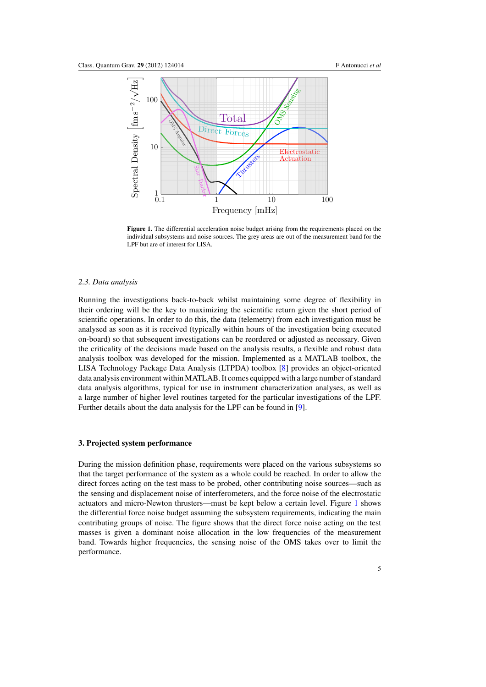<span id="page-5-0"></span>

**Figure 1.** The differential acceleration noise budget arising from the requirements placed on the individual subsystems and noise sources. The grey areas are out of the measurement band for the LPF but are of interest for LISA.

#### *2.3. Data analysis*

Running the investigations back-to-back whilst maintaining some degree of flexibility in their ordering will be the key to maximizing the scientific return given the short period of scientific operations. In order to do this, the data (telemetry) from each investigation must be analysed as soon as it is received (typically within hours of the investigation being executed on-board) so that subsequent investigations can be reordered or adjusted as necessary. Given the criticality of the decisions made based on the analysis results, a flexible and robust data analysis toolbox was developed for the mission. Implemented as a MATLAB toolbox, the LISA Technology Package Data Analysis (LTPDA) toolbox [\[8\]](#page-10-0) provides an object-oriented data analysis environment within MATLAB. It comes equipped with a large number of standard data analysis algorithms, typical for use in instrument characterization analyses, as well as a large number of higher level routines targeted for the particular investigations of the LPF. Further details about the data analysis for the LPF can be found in [\[9](#page-10-0)].

#### **3. Projected system performance**

During the mission definition phase, requirements were placed on the various subsystems so that the target performance of the system as a whole could be reached. In order to allow the direct forces acting on the test mass to be probed, other contributing noise sources—such as the sensing and displacement noise of interferometers, and the force noise of the electrostatic actuators and micro-Newton thrusters—must be kept below a certain level. Figure 1 shows the differential force noise budget assuming the subsystem requirements, indicating the main contributing groups of noise. The figure shows that the direct force noise acting on the test masses is given a dominant noise allocation in the low frequencies of the measurement band. Towards higher frequencies, the sensing noise of the OMS takes over to limit the performance.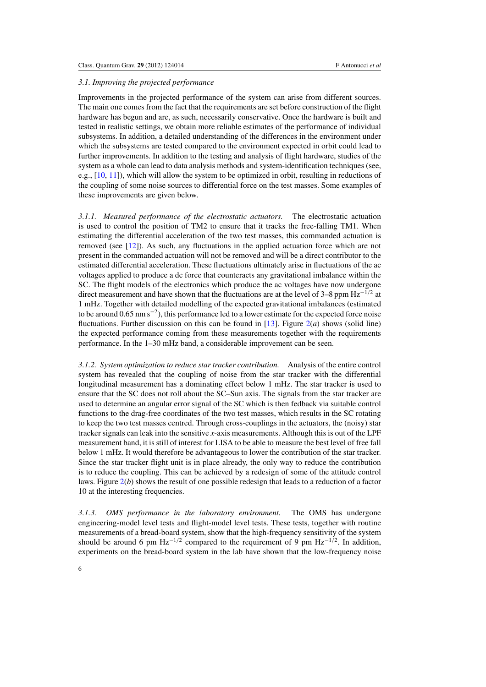#### <span id="page-6-0"></span>*3.1. Improving the projected performance*

Improvements in the projected performance of the system can arise from different sources. The main one comes from the fact that the requirements are set before construction of the flight hardware has begun and are, as such, necessarily conservative. Once the hardware is built and tested in realistic settings, we obtain more reliable estimates of the performance of individual subsystems. In addition, a detailed understanding of the differences in the environment under which the subsystems are tested compared to the environment expected in orbit could lead to further improvements. In addition to the testing and analysis of flight hardware, studies of the system as a whole can lead to data analysis methods and system-identification techniques (see, e.g., [\[10,](#page-10-0) [11](#page-10-0)]), which will allow the system to be optimized in orbit, resulting in reductions of the coupling of some noise sources to differential force on the test masses. Some examples of these improvements are given below.

*3.1.1. Measured performance of the electrostatic actuators.* The electrostatic actuation is used to control the position of TM2 to ensure that it tracks the free-falling TM1. When estimating the differential acceleration of the two test masses, this commanded actuation is removed (see [\[12\]](#page-10-0)). As such, any fluctuations in the applied actuation force which are not present in the commanded actuation will not be removed and will be a direct contributor to the estimated differential acceleration. These fluctuations ultimately arise in fluctuations of the ac voltages applied to produce a dc force that counteracts any gravitational imbalance within the SC. The flight models of the electronics which produce the ac voltages have now undergone direct measurement and have shown that the fluctuations are at the level of 3–8 ppm Hz<sup>-1/2</sup> at 1 mHz. Together with detailed modelling of the expected gravitational imbalances (estimated to be around 0.65 nm s<sup>−2</sup>), this performance led to a lower estimate for the expected force noise fluctuations. Further discussion on this can be found in  $[13]$  $[13]$ . Figure  $2(a)$  $2(a)$  shows (solid line) the expected performance coming from these measurements together with the requirements performance. In the 1–30 mHz band, a considerable improvement can be seen.

*3.1.2. System optimization to reduce star tracker contribution.* Analysis of the entire control system has revealed that the coupling of noise from the star tracker with the differential longitudinal measurement has a dominating effect below 1 mHz. The star tracker is used to ensure that the SC does not roll about the SC–Sun axis. The signals from the star tracker are used to determine an angular error signal of the SC which is then fedback via suitable control functions to the drag-free coordinates of the two test masses, which results in the SC rotating to keep the two test masses centred. Through cross-couplings in the actuators, the (noisy) star tracker signals can leak into the sensitive *x*-axis measurements. Although this is out of the LPF measurement band, it is still of interest for LISA to be able to measure the best level of free fall below 1 mHz. It would therefore be advantageous to lower the contribution of the star tracker. Since the star tracker flight unit is in place already, the only way to reduce the contribution is to reduce the coupling. This can be achieved by a redesign of some of the attitude control laws. Figure [2\(](#page-7-0)*b*) shows the result of one possible redesign that leads to a reduction of a factor 10 at the interesting frequencies.

*3.1.3. OMS performance in the laboratory environment.* The OMS has undergone engineering-model level tests and flight-model level tests. These tests, together with routine measurements of a bread-board system, show that the high-frequency sensitivity of the system should be around 6 pm Hz<sup>-1/2</sup> compared to the requirement of 9 pm Hz<sup>-1/2</sup>. In addition, experiments on the bread-board system in the lab have shown that the low-frequency noise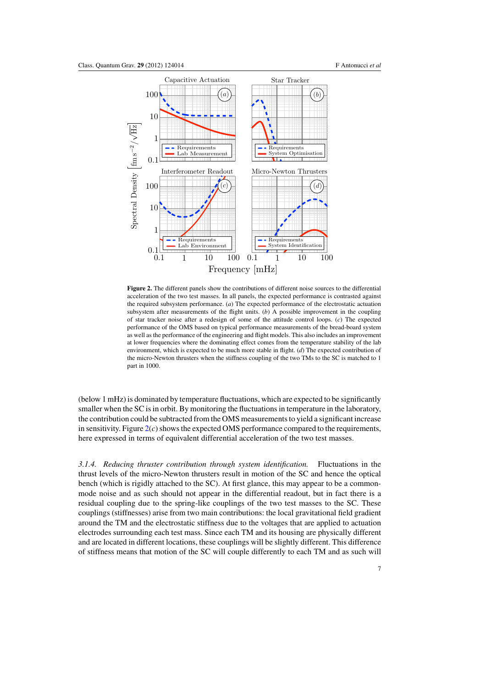<span id="page-7-0"></span>

**Figure 2.** The different panels show the contributions of different noise sources to the differential acceleration of the two test masses. In all panels, the expected performance is contrasted against the required subsystem performance. (*a*) The expected performance of the electrostatic actuation subsystem after measurements of the flight units. (*b*) A possible improvement in the coupling of star tracker noise after a redesign of some of the attitude control loops. (*c*) The expected performance of the OMS based on typical performance measurements of the bread-board system as well as the performance of the engineering and flight models. This also includes an improvement at lower frequencies where the dominating effect comes from the temperature stability of the lab environment, which is expected to be much more stable in flight. (*d*) The expected contribution of the micro-Newton thrusters when the stiffness coupling of the two TMs to the SC is matched to 1 part in 1000.

(below 1 mHz) is dominated by temperature fluctuations, which are expected to be significantly smaller when the SC is in orbit. By monitoring the fluctuations in temperature in the laboratory, the contribution could be subtracted from the OMS measurements to yield a significant increase in sensitivity. Figure 2(*c*) shows the expected OMS performance compared to the requirements, here expressed in terms of equivalent differential acceleration of the two test masses.

*3.1.4. Reducing thruster contribution through system identification.* Fluctuations in the thrust levels of the micro-Newton thrusters result in motion of the SC and hence the optical bench (which is rigidly attached to the SC). At first glance, this may appear to be a commonmode noise and as such should not appear in the differential readout, but in fact there is a residual coupling due to the spring-like couplings of the two test masses to the SC. These couplings (stiffnesses) arise from two main contributions: the local gravitational field gradient around the TM and the electrostatic stiffness due to the voltages that are applied to actuation electrodes surrounding each test mass. Since each TM and its housing are physically different and are located in different locations, these couplings will be slightly different. This difference of stiffness means that motion of the SC will couple differently to each TM and as such will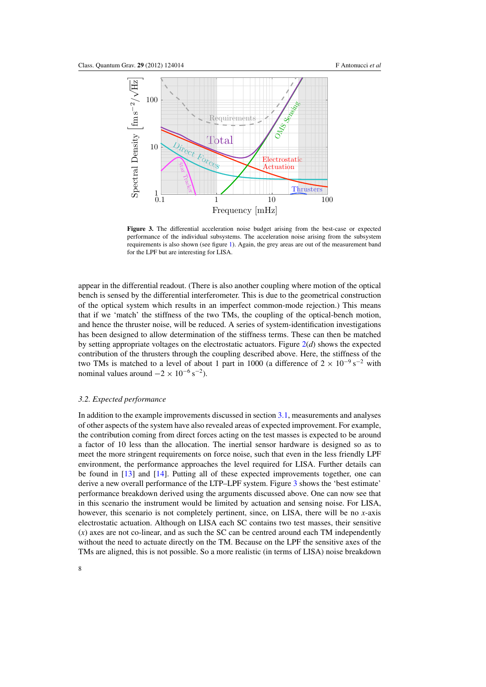

**Figure 3.** The differential acceleration noise budget arising from the best-case or expected performance of the individual subsystems. The acceleration noise arising from the subsystem requirements is also shown (see figure [1\)](#page-5-0). Again, the grey areas are out of the measurement band for the LPF but are interesting for LISA.

appear in the differential readout. (There is also another coupling where motion of the optical bench is sensed by the differential interferometer. This is due to the geometrical construction of the optical system which results in an imperfect common-mode rejection.) This means that if we 'match' the stiffness of the two TMs, the coupling of the optical-bench motion, and hence the thruster noise, will be reduced. A series of system-identification investigations has been designed to allow determination of the stiffness terms. These can then be matched by setting appropriate voltages on the electrostatic actuators. Figure [2\(](#page-7-0)*d*) shows the expected contribution of the thrusters through the coupling described above. Here, the stiffness of the two TMs is matched to a level of about 1 part in 1000 (a difference of  $2 \times 10^{-9}$  s<sup>-2</sup> with nominal values around  $-2 \times 10^{-6}$  s<sup>-2</sup>).

#### *3.2. Expected performance*

In addition to the example improvements discussed in section [3.1,](#page-6-0) measurements and analyses of other aspects of the system have also revealed areas of expected improvement. For example, the contribution coming from direct forces acting on the test masses is expected to be around a factor of 10 less than the allocation. The inertial sensor hardware is designed so as to meet the more stringent requirements on force noise, such that even in the less friendly LPF environment, the performance approaches the level required for LISA. Further details can be found in [\[13\]](#page-10-0) and [\[14](#page-10-0)]. Putting all of these expected improvements together, one can derive a new overall performance of the LTP–LPF system. Figure 3 shows the 'best estimate' performance breakdown derived using the arguments discussed above. One can now see that in this scenario the instrument would be limited by actuation and sensing noise. For LISA, however, this scenario is not completely pertinent, since, on LISA, there will be no *x*-axis electrostatic actuation. Although on LISA each SC contains two test masses, their sensitive (*x*) axes are not co-linear, and as such the SC can be centred around each TM independently without the need to actuate directly on the TM. Because on the LPF the sensitive axes of the TMs are aligned, this is not possible. So a more realistic (in terms of LISA) noise breakdown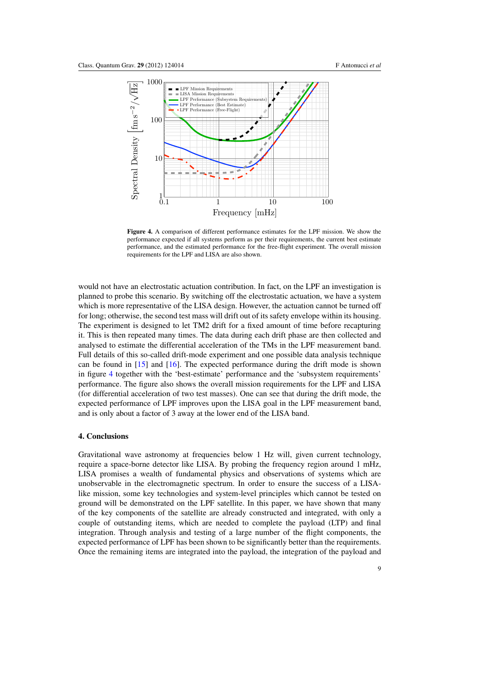

**Figure 4.** A comparison of different performance estimates for the LPF mission. We show the performance expected if all systems perform as per their requirements, the current best estimate performance, and the estimated performance for the free-flight experiment. The overall mission requirements for the LPF and LISA are also shown.

would not have an electrostatic actuation contribution. In fact, on the LPF an investigation is planned to probe this scenario. By switching off the electrostatic actuation, we have a system which is more representative of the LISA design. However, the actuation cannot be turned off for long; otherwise, the second test mass will drift out of its safety envelope within its housing. The experiment is designed to let TM2 drift for a fixed amount of time before recapturing it. This is then repeated many times. The data during each drift phase are then collected and analysed to estimate the differential acceleration of the TMs in the LPF measurement band. Full details of this so-called drift-mode experiment and one possible data analysis technique can be found in  $[15]$  $[15]$  and  $[16]$ . The expected performance during the drift mode is shown in figure 4 together with the 'best-estimate' performance and the 'subsystem requirements' performance. The figure also shows the overall mission requirements for the LPF and LISA (for differential acceleration of two test masses). One can see that during the drift mode, the expected performance of LPF improves upon the LISA goal in the LPF measurement band, and is only about a factor of 3 away at the lower end of the LISA band.

# **4. Conclusions**

Gravitational wave astronomy at frequencies below 1 Hz will, given current technology, require a space-borne detector like LISA. By probing the frequency region around 1 mHz, LISA promises a wealth of fundamental physics and observations of systems which are unobservable in the electromagnetic spectrum. In order to ensure the success of a LISAlike mission, some key technologies and system-level principles which cannot be tested on ground will be demonstrated on the LPF satellite. In this paper, we have shown that many of the key components of the satellite are already constructed and integrated, with only a couple of outstanding items, which are needed to complete the payload (LTP) and final integration. Through analysis and testing of a large number of the flight components, the expected performance of LPF has been shown to be significantly better than the requirements. Once the remaining items are integrated into the payload, the integration of the payload and